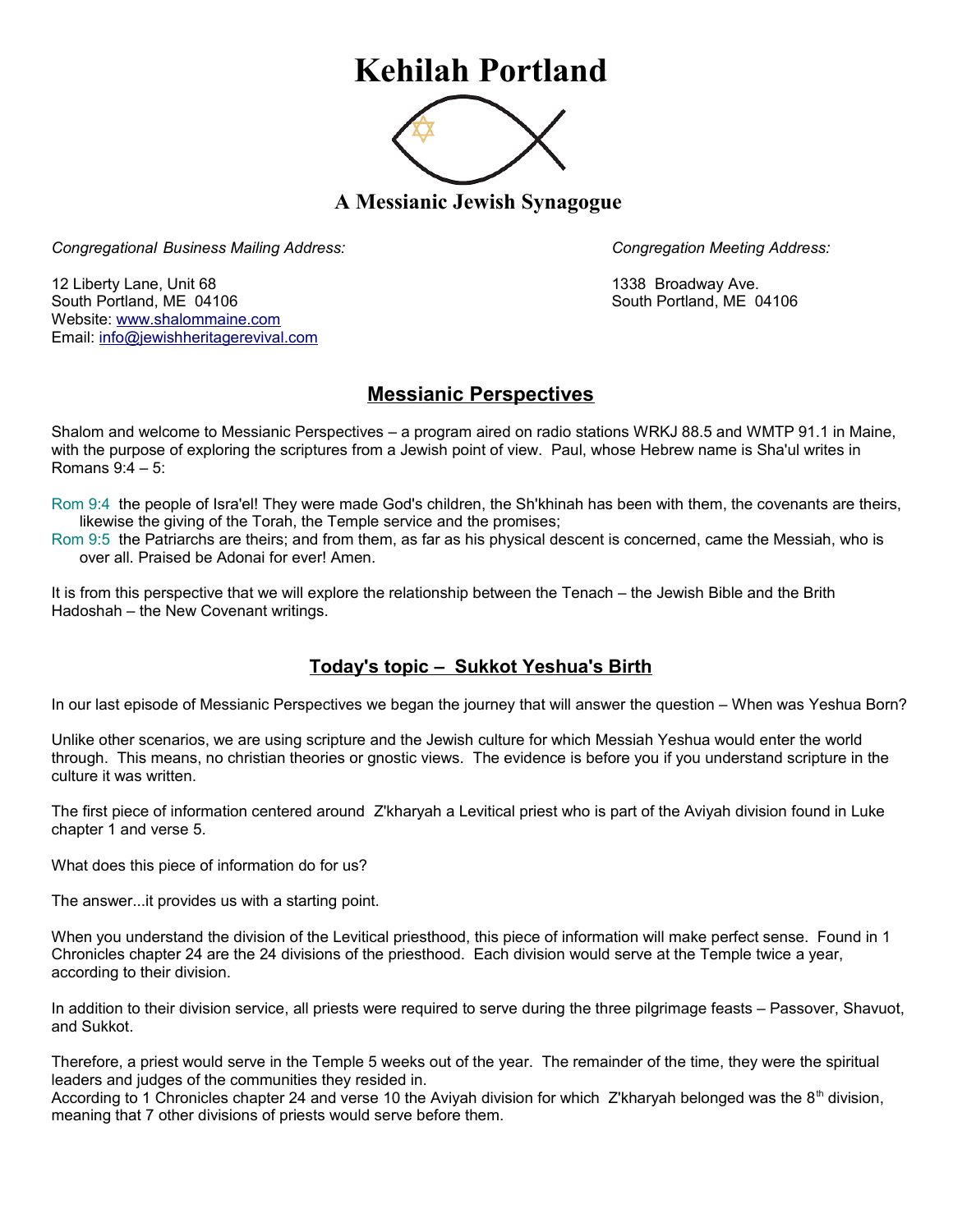## **Kehilah Portland**



**A Messianic Jewish Synagogue** 

*Congregational Business Mailing Address: Congregation Meeting Address:*

12 Liberty Lane, Unit 68 1338 Broadway Ave. South Portland, ME 04106 South Portland, ME 04106 Website: [www.shalommaine.com](http://www.shalommaine.com/) Email: [info@jewishheritagerevival.com](mailto:info@jewishheritagerevival.com) 

## **Messianic Perspectives**

Shalom and welcome to Messianic Perspectives – a program aired on radio stations WRKJ 88.5 and WMTP 91.1 in Maine, with the purpose of exploring the scriptures from a Jewish point of view. Paul, whose Hebrew name is Sha'ul writes in Romans 9:4 – 5:

Rom 9:4 the people of Isra'el! They were made God's children, the Sh'khinah has been with them, the covenants are theirs, likewise the giving of the Torah, the Temple service and the promises;

Rom 9:5 the Patriarchs are theirs; and from them, as far as his physical descent is concerned, came the Messiah, who is over all. Praised be Adonai for ever! Amen.

It is from this perspective that we will explore the relationship between the Tenach – the Jewish Bible and the Brith Hadoshah – the New Covenant writings.

## **Today's topic – Sukkot Yeshua's Birth**

In our last episode of Messianic Perspectives we began the journey that will answer the question – When was Yeshua Born?

Unlike other scenarios, we are using scripture and the Jewish culture for which Messiah Yeshua would enter the world through. This means, no christian theories or gnostic views. The evidence is before you if you understand scripture in the culture it was written.

The first piece of information centered around Z'kharyah a Levitical priest who is part of the Aviyah division found in Luke chapter 1 and verse 5.

What does this piece of information do for us?

The answer...it provides us with a starting point.

When you understand the division of the Levitical priesthood, this piece of information will make perfect sense. Found in 1 Chronicles chapter 24 are the 24 divisions of the priesthood. Each division would serve at the Temple twice a year, according to their division.

In addition to their division service, all priests were required to serve during the three pilgrimage feasts – Passover, Shavuot, and Sukkot.

Therefore, a priest would serve in the Temple 5 weeks out of the year. The remainder of the time, they were the spiritual leaders and judges of the communities they resided in.

According to 1 Chronicles chapter 24 and verse 10 the Aviyah division for which Z'kharyah belonged was the 8<sup>th</sup> division, meaning that 7 other divisions of priests would serve before them.